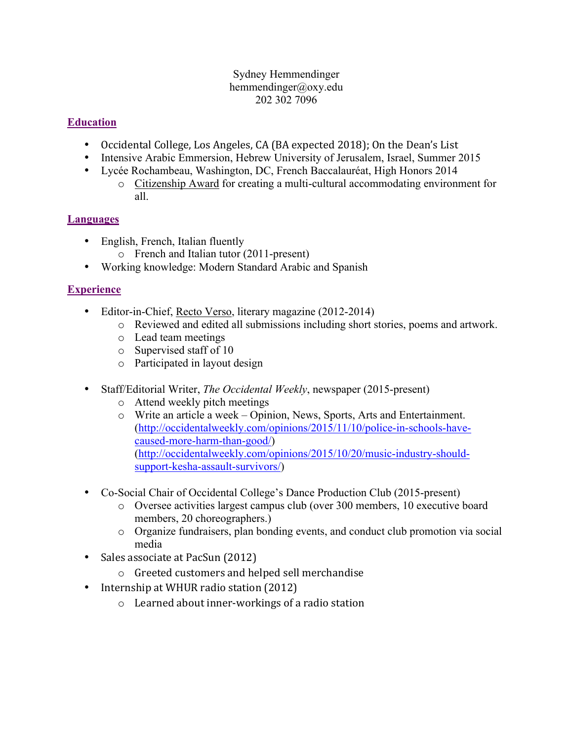#### Sydney Hemmendinger hemmendinger@oxy.edu 202 302 7096

# **Education**

- Occidental College, Los Angeles, CA (BA expected 2018); On the Dean's List
- Intensive Arabic Emmersion, Hebrew University of Jerusalem, Israel, Summer 2015
- Lycée Rochambeau, Washington, DC, French Baccalauréat, High Honors 2014
	- o Citizenship Award for creating a multi-cultural accommodating environment for all.

### **Languages**

- English, French, Italian fluently
	- o French and Italian tutor (2011-present)
- Working knowledge: Modern Standard Arabic and Spanish

### **Experience**

- Editor-in-Chief, Recto Verso, literary magazine (2012-2014)
	- o Reviewed and edited all submissions including short stories, poems and artwork.
	- o Lead team meetings
	- o Supervised staff of 10
	- o Participated in layout design
- Staff/Editorial Writer, *The Occidental Weekly*, newspaper (2015-present)
	- o Attend weekly pitch meetings
	- o Write an article a week Opinion, News, Sports, Arts and Entertainment. (http://occidentalweekly.com/opinions/2015/11/10/police-in-schools-havecaused-more-harm-than-good/) (http://occidentalweekly.com/opinions/2015/10/20/music-industry-shouldsupport-kesha-assault-survivors/)
- Co-Social Chair of Occidental College's Dance Production Club (2015-present)
	- o Oversee activities largest campus club (over 300 members, 10 executive board members, 20 choreographers.)
	- o Organize fundraisers, plan bonding events, and conduct club promotion via social media
- Sales associate at PacSun (2012)
	- $\circ$  Greeted customers and helped sell merchandise
- Internship at WHUR radio station (2012)
	- $\circ$  Learned about inner-workings of a radio station